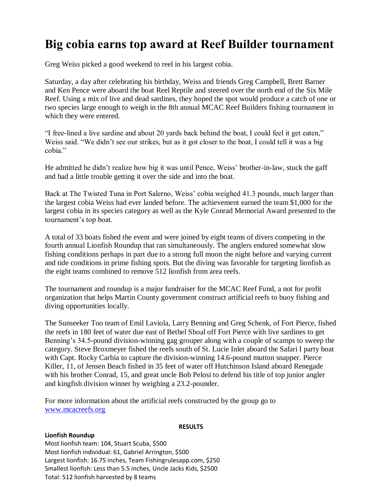# **Big cobia earns top award at Reef Builder tournament**

Greg Weiss picked a good weekend to reel in his largest cobia.

Saturday, a day after celebrating his birthday, Weiss and friends Greg Campbell, Brett Barner and Ken Pence were aboard the boat Reel Reptile and steered over the north end of the Six Mile Reef. Using a mix of live and dead sardines, they hoped the spot would produce a catch of one or two species large enough to weigh in the 8th annual MCAC Reef Builders fishing tournament in which they were entered.

"I free-lined a live sardine and about 20 yards back behind the boat, I could feel it get eaten," Weiss said. "We didn't see our strikes, but as it got closer to the boat, I could tell it was a big cobia."

He admitted he didn't realize how big it was until Pence, Weiss' brother-in-law, stuck the gaff and had a little trouble getting it over the side and into the boat.

Back at The Twisted Tuna in Port Salerno, Weiss' cobia weighed 41.3 pounds, much larger than the largest cobia Weiss had ever landed before. The achievement earned the team \$1,000 for the largest cobia in its species category as well as the Kyle Conrad Memorial Award presented to the tournament's top boat.

A total of 33 boats fished the event and were joined by eight teams of divers competing in the fourth annual Lionfish Roundup that ran simultaneously. The anglers endured somewhat slow fishing conditions perhaps in part due to a strong full moon the night before and varying current and tide conditions in prime fishing spots. But the diving was favorable for targeting lionfish as the eight teams combined to remove 512 lionfish from area reefs.

The tournament and roundup is a major fundraiser for the MCAC Reef Fund, a not for profit organization that helps Martin County government construct artificial reefs to buoy fishing and diving opportunities locally.

The Sunseeker Too team of Emil Laviola, Larry Benning and Greg Schenk, of Fort Pierce, fished the reefs in 180 feet of water due east of Bethel Shoal off Fort Pierce with live sardines to get Benning's 34.5-pound division-winning gag grouper along with a couple of scamps to sweep the category. Steve Broxmeyer fished the reefs south of St. Lucie Inlet aboard the Safari I party boat with Capt. Rocky Carbia to capture the division-winning 14.6-pound mutton snapper. Pierce Killer, 11, of Jensen Beach fished in 35 feet of water off Hutchinson Island aboard Renegade with his brother Conrad, 15, and great uncle Bob Pelosi to defend his title of top junior angler and kingfish division winner by weighing a 23.2-pounder.

For more information about the artificial reefs constructed by the group go to [www.mcacreefs.org](http://www.mcacreefs.org/)

#### **RESULTS**

# **Lionfish Roundup**

Most lionfish team: 104, Stuart Scuba, \$500 Most lionfish individual: 61, Gabriel Arrington, \$500 Largest lionfish: 16.75 inches, Team Fishingrulesapp.com, \$250 Smallest lionfish: Less than 5.5 inches, Uncle Jacks Kids, \$2500 Total: 512 lionfish harvested by 8 teams